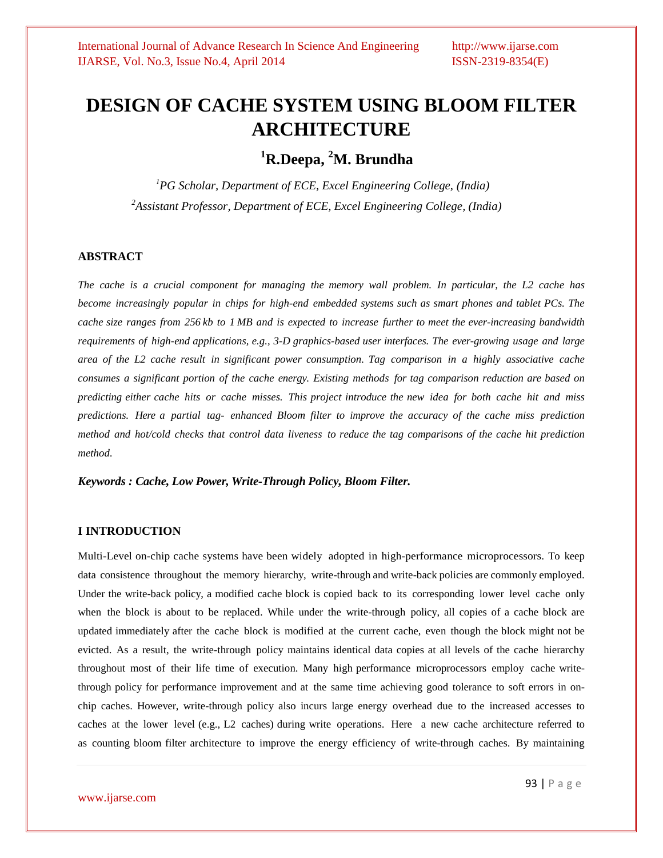# **DESIGN OF CACHE SYSTEM USING BLOOM FILTER ARCHITECTURE**

# **<sup>1</sup>R.Deepa, <sup>2</sup>M. Brundha**

*<sup>1</sup>PG Scholar, Department of ECE, Excel Engineering College, (India) <sup>2</sup>Assistant Professor, Department of ECE, Excel Engineering College, (India)*

# **ABSTRACT**

The cache is a crucial component for managing the memory wall problem. In particular, the L2 cache has *become increasingly popular in chips for high-end embedded systems such as smart phones and tablet PCs. The* cache size ranges from 256 kb to 1 MB and is expected to increase further to meet the ever-increasing bandwidth *requirements of high-end applications, e.g., 3-D graphics-based user interfaces. The ever-growing usage and large* area of the L2 cache result in significant power consumption. Tag comparison in a highly associative cache *consumes a significant portion of the cache energy. Existing methods for tag comparison reduction are based on predicting either cache hits or cache misses. This project introduce the new idea for both cache hit and miss predictions. Here a partial tag- enhanced Bloom filter to improve the accuracy of the cache miss prediction* method and hot/cold checks that control data liveness to reduce the tag comparisons of the cache hit prediction *method.*

*Keywords : Cache, Low Power, Write-Through Policy, Bloom Filter.*

# **I INTRODUCTION**

Multi-Level on-chip cache systems have been widely adopted in high-performance microprocessors. To keep data consistence throughout the memory hierarchy, write-through and write-back policies are commonly employed. Under the write-back policy, a modified cache block is copied back to its corresponding lower level cache only when the block is about to be replaced. While under the write-through policy, all copies of a cache block are updated immediately after the cache block is modified at the current cache, even though the block might not be evicted. As a result, the write-through policy maintains identical data copies at all levels of the cache hierarchy throughout most of their life time of execution. Many high performance microprocessors employ cache writethrough policy for performance improvement and at the same time achieving good tolerance to soft errors in onchip caches. However, write-through policy also incurs large energy overhead due to the increased accesses to caches at the lower level (e.g., L2 caches) during write operations. Here a new cache architecture referred to as counting bloom filter architecture to improve the energy efficiency of write-through caches. By maintaining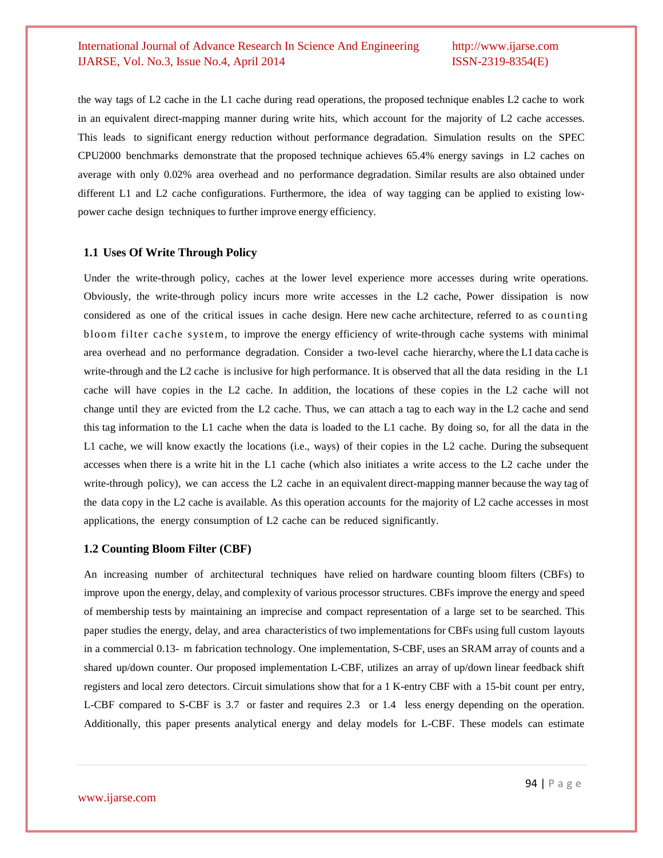the way tags of L2 cache in the L1 cache during read operations, the proposed technique enables L2 cache to work in an equivalent direct-mapping manner during write hits, which account for the majority of L2 cache accesses. This leads to significant energy reduction without performance degradation. Simulation results on the SPEC CPU2000 benchmarks demonstrate that the proposed technique achieves 65.4% energy savings in L2 caches on average with only 0.02% area overhead and no performance degradation. Similar results are also obtained under different L1 and L2 cache configurations. Furthermore, the idea of way tagging can be applied to existing lowpower cache design techniques to further improve energy efficiency.

#### **1.1 Uses Of Write Through Policy**

Under the write-through policy, caches at the lower level experience more accesses during write operations. Obviously, the write-through policy incurs more write accesses in the L2 cache, Power dissipation is now considered as one of the critical issues in cache design. Here new cache architecture, referred to as counting bloom filter cache system, to improve the energy efficiency of write-through cache systems with minimal area overhead and no performance degradation. Consider a two-level cache hierarchy, where the L1 data cache is write-through and the L2 cache is inclusive for high performance. It is observed that all the data residing in the L1 cache will have copies in the L2 cache. In addition, the locations of these copies in the L2 cache will not change until they are evicted from the L2 cache. Thus, we can attach a tag to each way in the L2 cache and send this tag information to the L1 cache when the data is loaded to the L1 cache. By doing so, for all the data in the L1 cache, we will know exactly the locations (i.e., ways) of their copies in the L2 cache. During the subsequent accesses when there is a write hit in the L1 cache (which also initiates a write access to the L2 cache under the write-through policy), we can access the L2 cache in an equivalent direct-mapping manner because the way tag of the data copy in the L2 cache is available. As this operation accounts for the majority of L2 cache accesses in most applications, the energy consumption of L2 cache can be reduced significantly.

#### **1.2 Counting Bloom Filter (CBF)**

An increasing number of architectural techniques have relied on hardware counting bloom filters (CBFs) to improve upon the energy, delay, and complexity of various processor structures. CBFs improve the energy and speed of membership tests by maintaining an imprecise and compact representation of a large set to be searched. This paper studies the energy, delay, and area characteristics of two implementations for CBFs using full custom layouts in a commercial 0.13- m fabrication technology. One implementation, S-CBF, uses an SRAM array of counts and a shared up/down counter. Our proposed implementation L-CBF, utilizes an array of up/down linear feedback shift registers and local zero detectors. Circuit simulations show that for a 1 K-entry CBF with a 15-bit count per entry, L-CBF compared to S-CBF is 3.7 or faster and requires 2.3 or 1.4 less energy depending on the operation. Additionally, this paper presents analytical energy and delay models for L-CBF. These models can estimate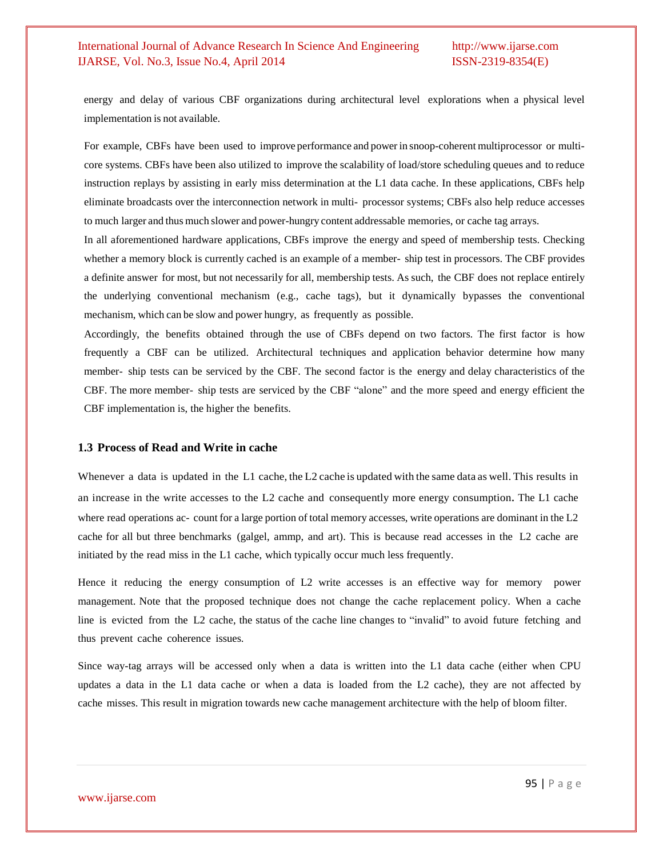energy and delay of various CBF organizations during architectural level explorations when a physical level implementation is not available.

For example, CBFs have been used to improve performance and powerin snoop-coherent multiprocessor or multicore systems. CBFs have been also utilized to improve the scalability of load/store scheduling queues and to reduce instruction replays by assisting in early miss determination at the L1 data cache. In these applications, CBFs help eliminate broadcasts over the interconnection network in multi- processor systems; CBFs also help reduce accesses to much larger and thus much slower and power-hungry content addressable memories, or cache tag arrays.

In all aforementioned hardware applications, CBFs improve the energy and speed of membership tests. Checking whether a memory block is currently cached is an example of a member- ship test in processors. The CBF provides a definite answer for most, but not necessarily for all, membership tests. As such, the CBF does not replace entirely the underlying conventional mechanism (e.g., cache tags), but it dynamically bypasses the conventional mechanism, which can be slow and power hungry, as frequently as possible.

Accordingly, the benefits obtained through the use of CBFs depend on two factors. The first factor is how frequently a CBF can be utilized. Architectural techniques and application behavior determine how many member- ship tests can be serviced by the CBF. The second factor is the energy and delay characteristics of the CBF. The more member- ship tests are serviced by the CBF "alone" and the more speed and energy efficient the CBF implementation is, the higher the benefits.

#### **1.3 Process of Read and Write in cache**

Whenever a data is updated in the L1 cache, the L2 cache is updated with the same data as well. This results in an increase in the write accesses to the L2 cache and consequently more energy consumption. The L1 cache where read operations ac- count for a large portion of total memory accesses, write operations are dominant in the L2 cache for all but three benchmarks (galgel, ammp, and art). This is because read accesses in the L2 cache are initiated by the read miss in the L1 cache, which typically occur much less frequently.

Hence it reducing the energy consumption of L2 write accesses is an effective way for memory power management. Note that the proposed technique does not change the cache replacement policy. When a cache line is evicted from the L2 cache, the status of the cache line changes to "invalid" to avoid future fetching and thus prevent cache coherence issues.

Since way-tag arrays will be accessed only when a data is written into the L1 data cache (either when CPU updates a data in the L1 data cache or when a data is loaded from the L2 cache), they are not affected by cache misses. This result in migration towards new cache management architecture with the help of bloom filter.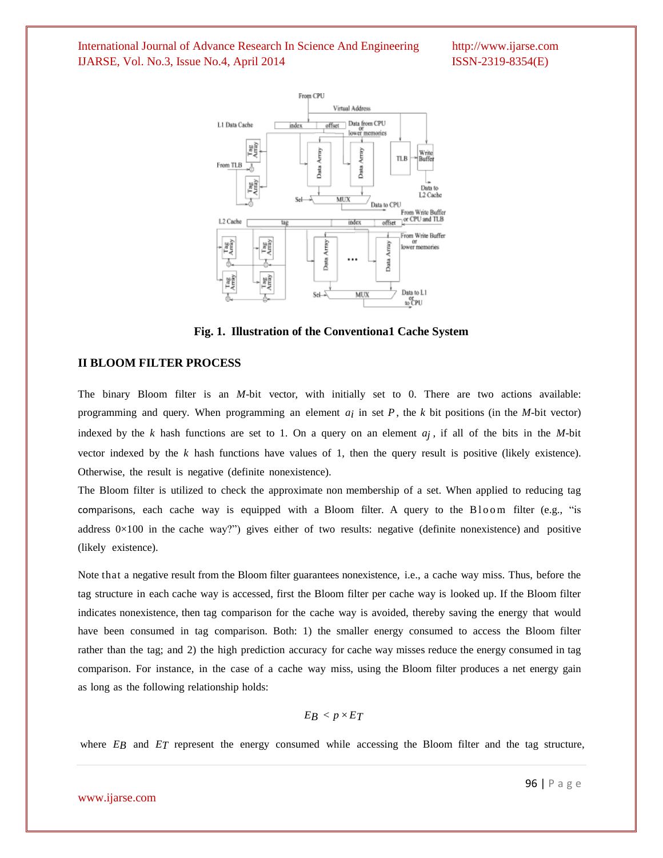

**Fig. 1. Illustration of the Conventiona1 Cache System**

#### **II BLOOM FILTER PROCESS**

The binary Bloom filter is an *M*-bit vector, with initially set to 0. There are two actions available: programming and query. When programming an element *ai* in set *P* , the *k* bit positions (in the *M*-bit vector) indexed by the  $k$  hash functions are set to 1. On a query on an element  $a_j$ , if all of the bits in the *M*-bit vector indexed by the *k* hash functions have values of 1, then the query result is positive (likely existence). Otherwise, the result is negative (definite nonexistence).

The Bloom filter is utilized to check the approximate non membership of a set. When applied to reducing tag comparisons, each cache way is equipped with a Bloom filter. A query to the Bloom filter (e.g., "is address  $0\times100$  in the cache way?") gives either of two results: negative (definite nonexistence) and positive (likely existence).

Note that a negative result from the Bloom filter guarantees nonexistence, i.e., a cache way miss. Thus, before the tag structure in each cache way is accessed, first the Bloom filter per cache way is looked up. If the Bloom filter indicates nonexistence, then tag comparison for the cache way is avoided, thereby saving the energy that would have been consumed in tag comparison. Both: 1) the smaller energy consumed to access the Bloom filter rather than the tag; and 2) the high prediction accuracy for cache way misses reduce the energy consumed in tag comparison. For instance, in the case of a cache way miss, using the Bloom filter produces a net energy gain as long as the following relationship holds:

$$
E_B < p \times E_T
$$

where *EB* and *ET* represent the energy consumed while accessing the Bloom filter and the tag structure,

#### www.ijarse.com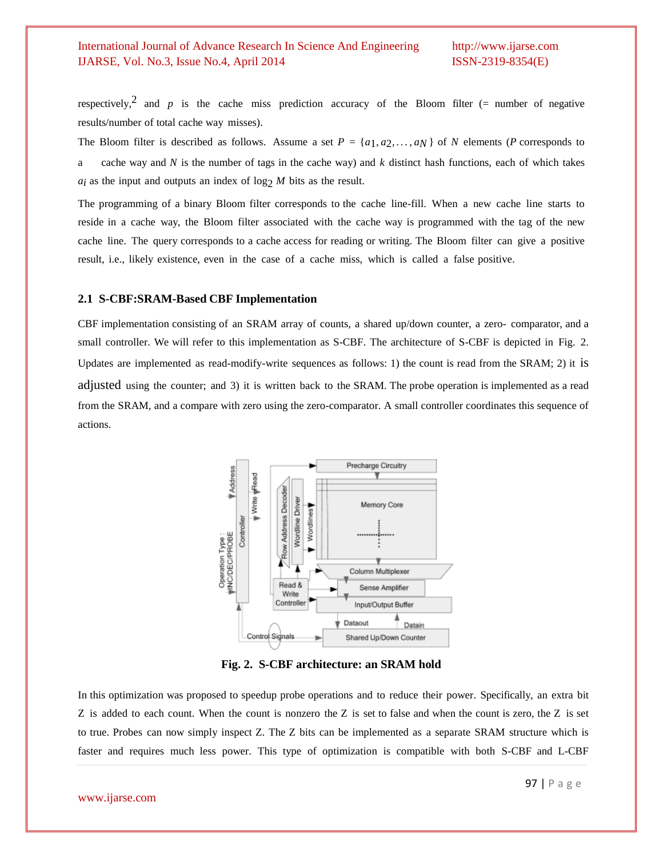respectively,<sup>2</sup> and *p* is the cache miss prediction accuracy of the Bloom filter (= number of negative results/number of total cache way misses).

The Bloom filter is described as follows. Assume a set  $P = \{a_1, a_2, \ldots, a_N\}$  of *N* elements (*P* corresponds to a cache way and *N* is the number of tags in the cache way) and *k* distinct hash functions, each of which takes  $a_i$  as the input and outputs an index of  $\log_2 M$  bits as the result.

The programming of a binary Bloom filter corresponds to the cache line-fill. When a new cache line starts to reside in a cache way, the Bloom filter associated with the cache way is programmed with the tag of the new cache line. The query corresponds to a cache access for reading or writing. The Bloom filter can give a positive result, i.e., likely existence, even in the case of a cache miss, which is called a false positive.

# **2.1 S-CBF:SRAM-Based CBF Implementation**

CBF implementation consisting of an SRAM array of counts, a shared up/down counter, a zero- comparator, and a small controller. We will refer to this implementation as S-CBF. The architecture of S-CBF is depicted in Fig. 2. Updates are implemented as read-modify-write sequences as follows: 1) the count is read from the SRAM; 2) it is adjusted using the counter; and 3) it is written back to the SRAM. The probe operation is implemented as a read from the SRAM, and a compare with zero using the zero-comparator. A small controller coordinates this sequence of actions.



**Fig. 2. S-CBF architecture: an SRAM hold**

In this optimization was proposed to speedup probe operations and to reduce their power. Specifically, an extra bit Z is added to each count. When the count is nonzero the Z is set to false and when the count is zero, the Z is set to true. Probes can now simply inspect Z. The Z bits can be implemented as a separate SRAM structure which is faster and requires much less power. This type of optimization is compatible with both S-CBF and L-CBF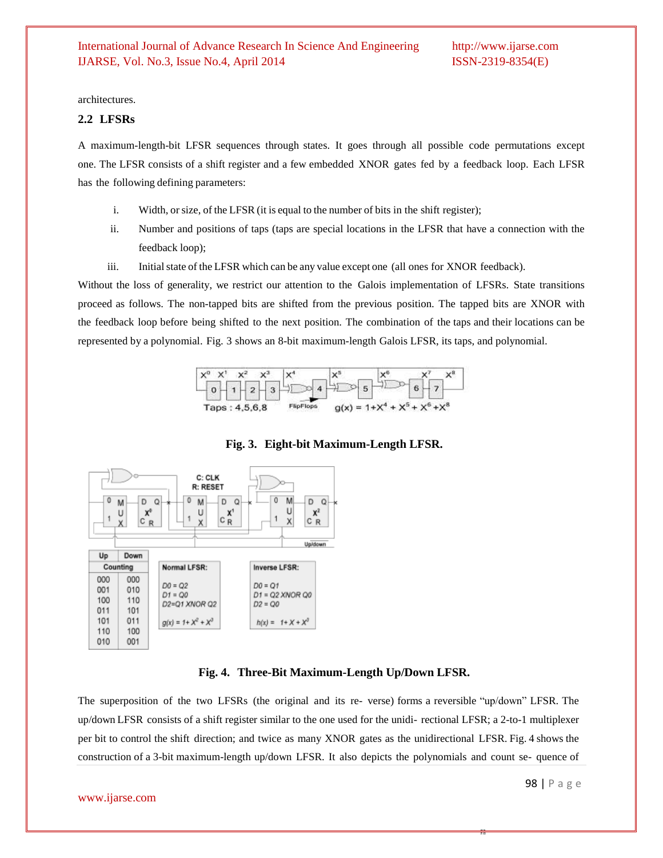architectures.

#### **2.2 LFSRs**

A maximum-length-bit LFSR sequences through states. It goes through all possible code permutations except one. The LFSR consists of a shift register and a few embedded XNOR gates fed by a feedback loop. Each LFSR has the following defining parameters:

- i. Width, or size, of the LFSR (it is equal to the number of bits in the shift register);
- ii. Number and positions of taps (taps are special locations in the LFSR that have a connection with the feedback loop);
- iii. Initial state of the LFSR which can be any value except one (all ones for XNOR feedback).

Without the loss of generality, we restrict our attention to the Galois implementation of LFSRs. State transitions proceed as follows. The non-tapped bits are shifted from the previous position. The tapped bits are XNOR with the feedback loop before being shifted to the next position. The combination of the taps and their locations can be represented by a polynomial. Fig. 3 shows an 8-bit maximum-length Galois LFSR, its taps, and polynomial.



**Fig. 3. Eight-bit Maximum-Length LFSR.**



#### **Fig. 4. Three-Bit Maximum-Length Up/Down LFSR.**

The superposition of the two LFSRs (the original and its re- verse) forms a reversible "up/down" LFSR. The up/down LFSR consists of a shift register similar to the one used for the unidi- rectional LFSR; a 2-to-1 multiplexer per bit to control the shift direction; and twice as many XNOR gates as the unidirectional LFSR. Fig. 4 shows the construction of a 3-bit maximum-length up/down LFSR. It also depicts the polynomials and count se- quence of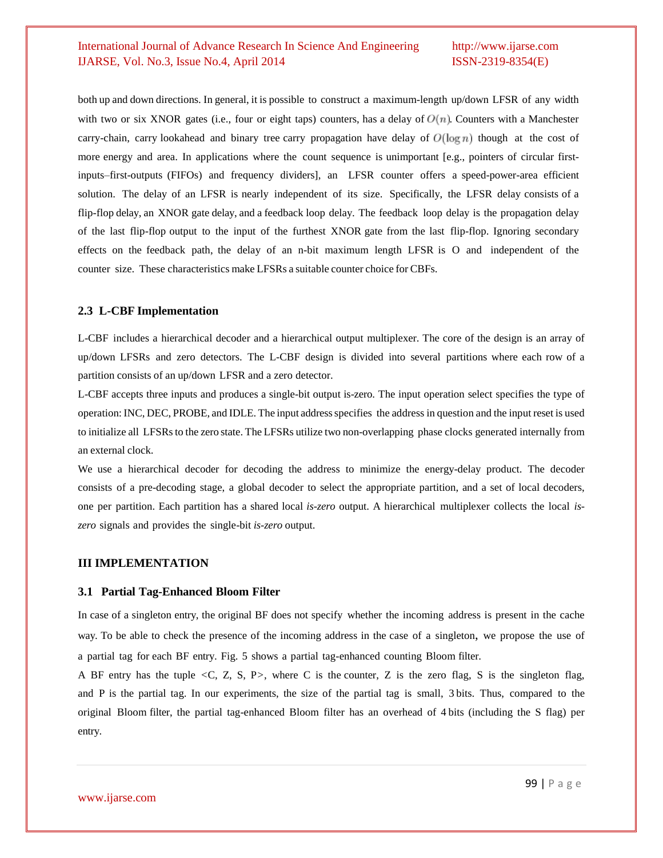both up and down directions. In general, it is possible to construct a maximum-length up/down LFSR of any width with two or six XNOR gates (i.e., four or eight taps) counters, has a delay of  $O(n)$ . Counters with a Manchester carry-chain, carry lookahead and binary tree carry propagation have delay of  $O(\log n)$  though at the cost of more energy and area. In applications where the count sequence is unimportant [e.g., pointers of circular firstinputs–first-outputs (FIFOs) and frequency dividers], an LFSR counter offers a speed-power-area efficient solution. The delay of an LFSR is nearly independent of its size. Specifically, the LFSR delay consists of a flip-flop delay, an XNOR gate delay, and a feedback loop delay. The feedback loop delay is the propagation delay of the last flip-flop output to the input of the furthest XNOR gate from the last flip-flop. Ignoring secondary effects on the feedback path, the delay of an n-bit maximum length LFSR is O and independent of the counter size. These characteristics make LFSRs a suitable counter choice for CBFs.

#### **2.3 L-CBF Implementation**

L-CBF includes a hierarchical decoder and a hierarchical output multiplexer. The core of the design is an array of up/down LFSRs and zero detectors. The L-CBF design is divided into several partitions where each row of a partition consists of an up/down LFSR and a zero detector.

L-CBF accepts three inputs and produces a single-bit output is-zero. The input operation select specifies the type of operation: INC, DEC, PROBE, and IDLE. The input addressspecifies the address in question and the input reset is used to initialize all LFSRs to the zero state. The LFSRs utilize two non-overlapping phase clocks generated internally from an external clock.

We use a hierarchical decoder for decoding the address to minimize the energy-delay product. The decoder consists of a pre-decoding stage, a global decoder to select the appropriate partition, and a set of local decoders, one per partition. Each partition has a shared local *is-zero* output. A hierarchical multiplexer collects the local *iszero* signals and provides the single-bit *is-zero* output.

#### **III IMPLEMENTATION**

#### **3.1 Partial Tag-Enhanced Bloom Filter**

In case of a singleton entry, the original BF does not specify whether the incoming address is present in the cache way. To be able to check the presence of the incoming address in the case of a singleton, we propose the use of a partial tag for each BF entry. Fig. 5 shows a partial tag-enhanced counting Bloom filter.

A BF entry has the tuple *<*C, Z, S, P*>*, where C is the counter, Z is the zero flag, S is the singleton flag, and P is the partial tag. In our experiments, the size of the partial tag is small, 3 bits. Thus, compared to the original Bloom filter, the partial tag-enhanced Bloom filter has an overhead of 4 bits (including the S flag) per entry.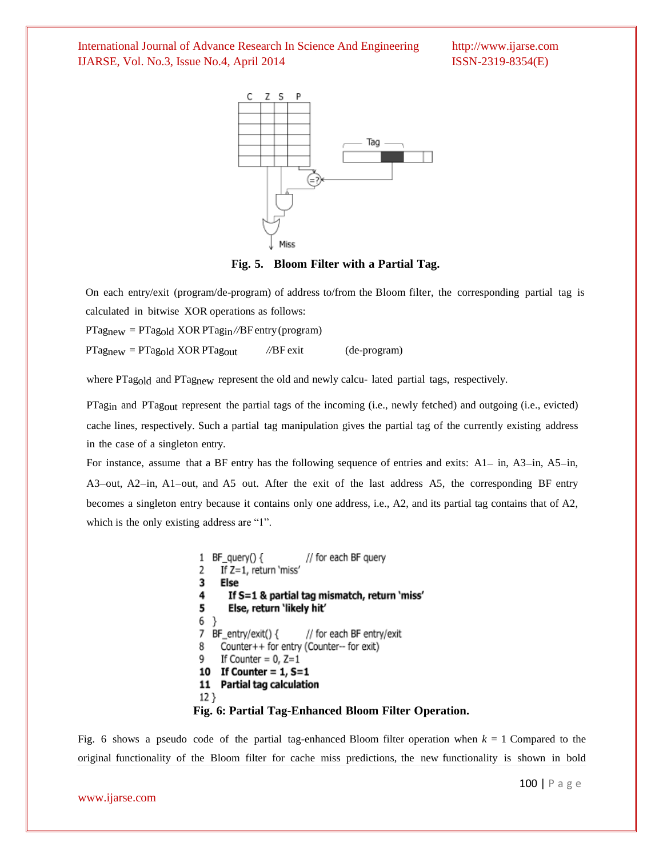

**Fig. 5. Bloom Filter with a Partial Tag.**

On each entry/exit (program/de-program) of address to/from the Bloom filter, the corresponding partial tag is calculated in bitwise XOR operations as follows:

PTagnew = PTagold XOR PTagin*//*BF entry(program)

PTagnew = PTagold XOR PTagout *//*BF exit (de-program)

where PTag<sub>old</sub> and PTag<sub>new</sub> represent the old and newly calcu- lated partial tags, respectively.

PTag<sub>in</sub> and PTag<sub>out</sub> represent the partial tags of the incoming (i.e., newly fetched) and outgoing (i.e., evicted) cache lines, respectively. Such a partial tag manipulation gives the partial tag of the currently existing address in the case of a singleton entry.

For instance, assume that a BF entry has the following sequence of entries and exits: A1− in, A3−in, A5−in, A3−out, A2−in, A1−out, and A5 out. After the exit of the last address A5, the corresponding BF entry becomes a singleton entry because it contains only one address, i.e., A2, and its partial tag contains that of A2, which is the only existing address are "1".

```
BF query() \{// for each BF query
 \mathbf{1}If Z=1, return 'miss'
 2
 3
      Else
 4
        If S=1 & partial tag mismatch, return 'miss'
 5
        Else, return 'likely hit'
 6 }
 7 BF_entry/exit() {
                          // for each BF entry/exit
 8
      Counter++ for entry (Counter-- for exit)
      If Counter = 0, Z=19
 10 If Counter = 1, S=111 Partial tag calculation
 12}
Fig. 6: Partial Tag-Enhanced Bloom Filter Operation.
```
Fig. 6 shows a pseudo code of the partial tag-enhanced Bloom filter operation when  $k = 1$  Compared to the original functionality of the Bloom filter for cache miss predictions, the new functionality is shown in bold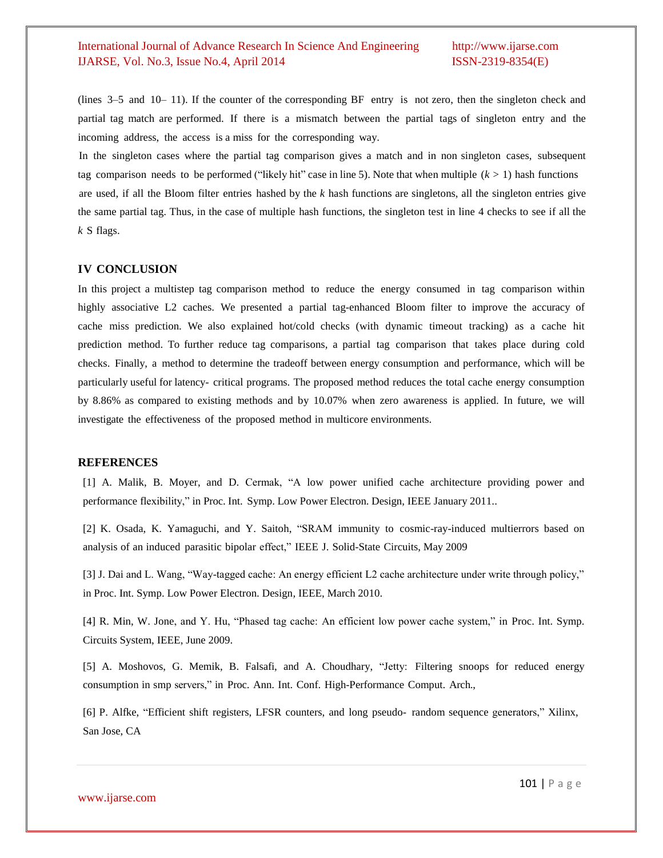(lines 3–5 and 10– 11). If the counter of the corresponding BF entry is not zero, then the singleton check and partial tag match are performed. If there is a mismatch between the partial tags of singleton entry and the incoming address, the access is a miss for the corresponding way.

In the singleton cases where the partial tag comparison gives a match and in non singleton cases, subsequent tag comparison needs to be performed ("likely hit" case in line 5). Note that when multiple  $(k > 1)$  hash functions are used, if all the Bloom filter entries hashed by the *k* hash functions are singletons, all the singleton entries give the same partial tag. Thus, in the case of multiple hash functions, the singleton test in line 4 checks to see if all the *k* S flags.

#### **IV CONCLUSION**

In this project a multistep tag comparison method to reduce the energy consumed in tag comparison within highly associative L2 caches. We presented a partial tag-enhanced Bloom filter to improve the accuracy of cache miss prediction. We also explained hot/cold checks (with dynamic timeout tracking) as a cache hit prediction method. To further reduce tag comparisons, a partial tag comparison that takes place during cold checks. Finally, a method to determine the tradeoff between energy consumption and performance, which will be particularly useful for latency- critical programs. The proposed method reduces the total cache energy consumption by 8.86% as compared to existing methods and by 10.07% when zero awareness is applied. In future, we will investigate the effectiveness of the proposed method in multicore environments.

#### **REFERENCES**

[1] A. Malik, B. Moyer, and D. Cermak, "A low power unified cache architecture providing power and performance flexibility," in Proc. Int. Symp. Low Power Electron. Design, IEEE January 2011..

[2] K. Osada, K. Yamaguchi, and Y. Saitoh, "SRAM immunity to cosmic-ray-induced multierrors based on analysis of an induced parasitic bipolar effect," IEEE J. Solid-State Circuits, May 2009

[3] J. Dai and L. Wang, "Way-tagged cache: An energy efficient L2 cache architecture under write through policy," in Proc. Int. Symp. Low Power Electron. Design, IEEE, March 2010.

[4] R. Min, W. Jone, and Y. Hu, "Phased tag cache: An efficient low power cache system," in Proc. Int. Symp. Circuits System, IEEE, June 2009.

[5] A. Moshovos, G. Memik, B. Falsafi, and A. Choudhary, "Jetty: Filtering snoops for reduced energy consumption in smp servers," in Proc. Ann. Int. Conf. High-Performance Comput. Arch.,

[6] P. Alfke, "Efficient shift registers, LFSR counters, and long pseudo- random sequence generators," Xilinx, San Jose, CA